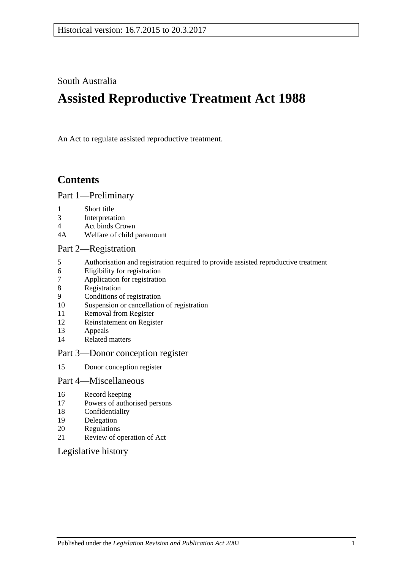South Australia

# **Assisted Reproductive Treatment Act 1988**

An Act to regulate assisted reproductive treatment.

# **Contents**

#### [Part 1—Preliminary](#page-1-0)

- 1 [Short title](#page-1-1)
- 3 [Interpretation](#page-1-2)
- 4 [Act binds Crown](#page-1-3)
- 4A [Welfare of child paramount](#page-1-4)

#### [Part 2—Registration](#page-2-0)

- 5 [Authorisation and registration required to provide assisted reproductive treatment](#page-2-1)<br>6 Eligibility for registration
- [Eligibility for registration](#page-2-2)
- 7 [Application for registration](#page-2-3)
- 8 [Registration](#page-3-0)
- 9 [Conditions of registration](#page-3-1)
- 10 [Suspension or cancellation of registration](#page-4-0)
- 11 [Removal from Register](#page-4-1)
- 12 [Reinstatement on Register](#page-5-0)
- 13 [Appeals](#page-5-1)
- 14 [Related matters](#page-6-0)

#### [Part 3—Donor conception register](#page-6-1)

15 [Donor conception register](#page-6-2)

#### [Part 4—Miscellaneous](#page-7-0)

- 16 [Record keeping](#page-7-1)
- 17 [Powers of authorised persons](#page-7-2)
- 18 [Confidentiality](#page-8-0)
- 19 [Delegation](#page-8-1)
- 20 [Regulations](#page-8-2)
- 21 [Review of operation of Act](#page-9-0)

### [Legislative history](#page-10-0)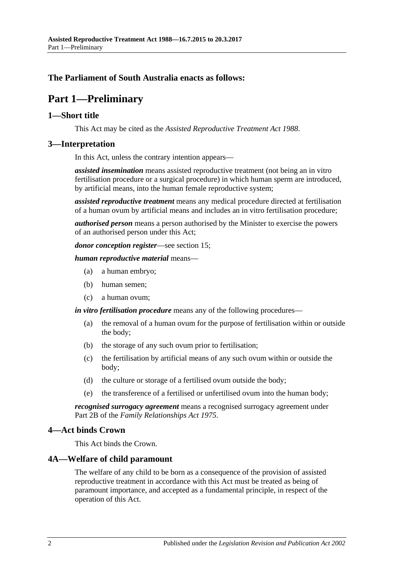# <span id="page-1-0"></span>**The Parliament of South Australia enacts as follows:**

# **Part 1—Preliminary**

#### <span id="page-1-1"></span>**1—Short title**

This Act may be cited as the *Assisted Reproductive Treatment Act 1988*.

#### <span id="page-1-2"></span>**3—Interpretation**

In this Act, unless the contrary intention appears—

*assisted insemination* means assisted reproductive treatment (not being an in vitro fertilisation procedure or a surgical procedure) in which human sperm are introduced, by artificial means, into the human female reproductive system;

*assisted reproductive treatment* means any medical procedure directed at fertilisation of a human ovum by artificial means and includes an in vitro fertilisation procedure;

*authorised person* means a person authorised by the Minister to exercise the powers of an authorised person under this Act;

*donor conception register*—see [section](#page-6-2) 15;

*human reproductive material* means—

- (a) a human embryo;
- (b) human semen;
- (c) a human ovum;

*in vitro fertilisation procedure* means any of the following procedures—

- (a) the removal of a human ovum for the purpose of fertilisation within or outside the body;
- (b) the storage of any such ovum prior to fertilisation;
- (c) the fertilisation by artificial means of any such ovum within or outside the body;
- (d) the culture or storage of a fertilised ovum outside the body;
- (e) the transference of a fertilised or unfertilised ovum into the human body;

*recognised surrogacy agreement* means a recognised surrogacy agreement under Part 2B of the *[Family Relationships Act](http://www.legislation.sa.gov.au/index.aspx?action=legref&type=act&legtitle=Family%20Relationships%20Act%201975) 1975*.

#### <span id="page-1-3"></span>**4—Act binds Crown**

This Act binds the Crown.

#### <span id="page-1-4"></span>**4A—Welfare of child paramount**

The welfare of any child to be born as a consequence of the provision of assisted reproductive treatment in accordance with this Act must be treated as being of paramount importance, and accepted as a fundamental principle, in respect of the operation of this Act.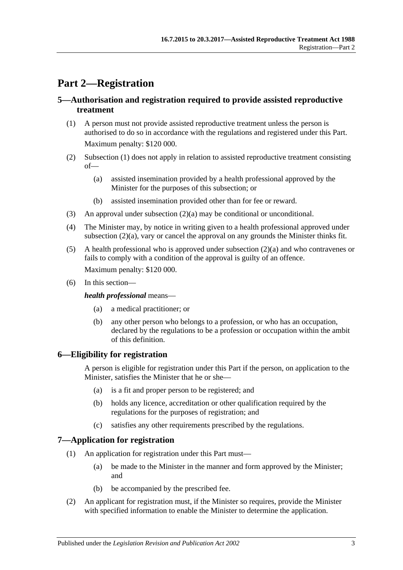# <span id="page-2-0"></span>**Part 2—Registration**

### <span id="page-2-1"></span>**5—Authorisation and registration required to provide assisted reproductive treatment**

- <span id="page-2-4"></span>(1) A person must not provide assisted reproductive treatment unless the person is authorised to do so in accordance with the regulations and registered under this Part. Maximum penalty: \$120 000.
- <span id="page-2-6"></span><span id="page-2-5"></span>(2) [Subsection](#page-2-4) (1) does not apply in relation to assisted reproductive treatment consisting of—
	- (a) assisted insemination provided by a health professional approved by the Minister for the purposes of this subsection; or
	- (b) assisted insemination provided other than for fee or reward.
- (3) An approval under [subsection](#page-2-5)  $(2)(a)$  may be conditional or unconditional.
- <span id="page-2-7"></span>(4) The Minister may, by notice in writing given to a health professional approved under [subsection](#page-2-5) (2)(a), vary or cancel the approval on any grounds the Minister thinks fit.
- (5) A health professional who is approved under [subsection](#page-2-5) (2)(a) and who contravenes or fails to comply with a condition of the approval is guilty of an offence. Maximum penalty: \$120 000.
- (6) In this section—

#### *health professional* means—

- (a) a medical practitioner; or
- (b) any other person who belongs to a profession, or who has an occupation, declared by the regulations to be a profession or occupation within the ambit of this definition.

# <span id="page-2-2"></span>**6—Eligibility for registration**

A person is eligible for registration under this Part if the person, on application to the Minister, satisfies the Minister that he or she—

- (a) is a fit and proper person to be registered; and
- (b) holds any licence, accreditation or other qualification required by the regulations for the purposes of registration; and
- (c) satisfies any other requirements prescribed by the regulations.

### <span id="page-2-3"></span>**7—Application for registration**

- (1) An application for registration under this Part must—
	- (a) be made to the Minister in the manner and form approved by the Minister; and
	- (b) be accompanied by the prescribed fee.
- (2) An applicant for registration must, if the Minister so requires, provide the Minister with specified information to enable the Minister to determine the application.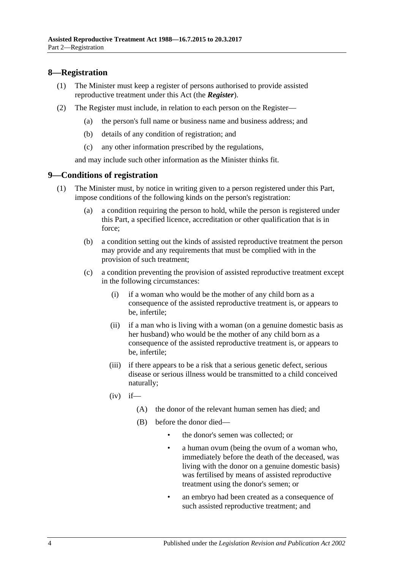### <span id="page-3-0"></span>**8—Registration**

- (1) The Minister must keep a register of persons authorised to provide assisted reproductive treatment under this Act (the *Register*).
- (2) The Register must include, in relation to each person on the Register—
	- (a) the person's full name or business name and business address; and
	- (b) details of any condition of registration; and
	- (c) any other information prescribed by the regulations,

and may include such other information as the Minister thinks fit.

#### <span id="page-3-1"></span>**9—Conditions of registration**

- (1) The Minister must, by notice in writing given to a person registered under this Part, impose conditions of the following kinds on the person's registration:
	- (a) a condition requiring the person to hold, while the person is registered under this Part, a specified licence, accreditation or other qualification that is in force;
	- (b) a condition setting out the kinds of assisted reproductive treatment the person may provide and any requirements that must be complied with in the provision of such treatment;
	- (c) a condition preventing the provision of assisted reproductive treatment except in the following circumstances:
		- (i) if a woman who would be the mother of any child born as a consequence of the assisted reproductive treatment is, or appears to be, infertile;
		- (ii) if a man who is living with a woman (on a genuine domestic basis as her husband) who would be the mother of any child born as a consequence of the assisted reproductive treatment is, or appears to be, infertile;
		- (iii) if there appears to be a risk that a serious genetic defect, serious disease or serious illness would be transmitted to a child conceived naturally;
		- $(iv)$  if—
			- (A) the donor of the relevant human semen has died; and
			- (B) before the donor died—
				- the donor's semen was collected; or
				- a human ovum (being the ovum of a woman who, immediately before the death of the deceased, was living with the donor on a genuine domestic basis) was fertilised by means of assisted reproductive treatment using the donor's semen; or
				- an embryo had been created as a consequence of such assisted reproductive treatment; and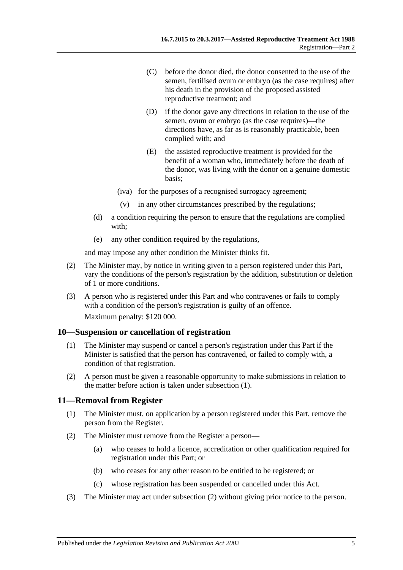- (C) before the donor died, the donor consented to the use of the semen, fertilised ovum or embryo (as the case requires) after his death in the provision of the proposed assisted reproductive treatment; and
- (D) if the donor gave any directions in relation to the use of the semen, ovum or embryo (as the case requires)—the directions have, as far as is reasonably practicable, been complied with; and
- (E) the assisted reproductive treatment is provided for the benefit of a woman who, immediately before the death of the donor, was living with the donor on a genuine domestic basis;
- (iva) for the purposes of a recognised surrogacy agreement;
- (v) in any other circumstances prescribed by the regulations;
- (d) a condition requiring the person to ensure that the regulations are complied with;
- (e) any other condition required by the regulations,

and may impose any other condition the Minister thinks fit.

- (2) The Minister may, by notice in writing given to a person registered under this Part, vary the conditions of the person's registration by the addition, substitution or deletion of 1 or more conditions.
- (3) A person who is registered under this Part and who contravenes or fails to comply with a condition of the person's registration is guilty of an offence. Maximum penalty: \$120 000.

#### <span id="page-4-2"></span><span id="page-4-0"></span>**10—Suspension or cancellation of registration**

- (1) The Minister may suspend or cancel a person's registration under this Part if the Minister is satisfied that the person has contravened, or failed to comply with, a condition of that registration.
- (2) A person must be given a reasonable opportunity to make submissions in relation to the matter before action is taken under [subsection](#page-4-2) (1).

### <span id="page-4-1"></span>**11—Removal from Register**

- (1) The Minister must, on application by a person registered under this Part, remove the person from the Register.
- <span id="page-4-3"></span>(2) The Minister must remove from the Register a person—
	- (a) who ceases to hold a licence, accreditation or other qualification required for registration under this Part; or
	- (b) who ceases for any other reason to be entitled to be registered; or
	- (c) whose registration has been suspended or cancelled under this Act.
- (3) The Minister may act under [subsection](#page-4-3) (2) without giving prior notice to the person.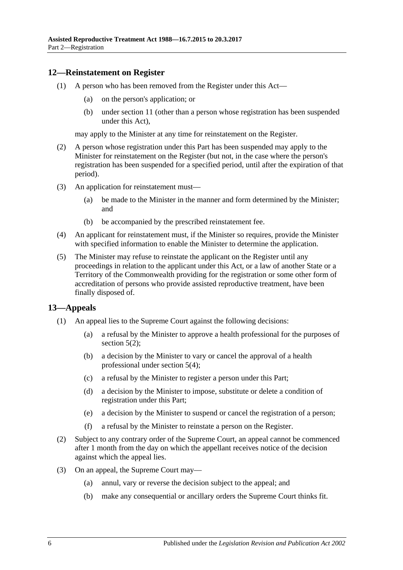#### <span id="page-5-0"></span>**12—Reinstatement on Register**

- (1) A person who has been removed from the Register under this Act—
	- (a) on the person's application; or
	- (b) under [section](#page-4-1) 11 (other than a person whose registration has been suspended under this Act),

may apply to the Minister at any time for reinstatement on the Register.

- (2) A person whose registration under this Part has been suspended may apply to the Minister for reinstatement on the Register (but not, in the case where the person's registration has been suspended for a specified period, until after the expiration of that period).
- (3) An application for reinstatement must—
	- (a) be made to the Minister in the manner and form determined by the Minister; and
	- (b) be accompanied by the prescribed reinstatement fee.
- (4) An applicant for reinstatement must, if the Minister so requires, provide the Minister with specified information to enable the Minister to determine the application.
- (5) The Minister may refuse to reinstate the applicant on the Register until any proceedings in relation to the applicant under this Act, or a law of another State or a Territory of the Commonwealth providing for the registration or some other form of accreditation of persons who provide assisted reproductive treatment, have been finally disposed of.

### <span id="page-5-1"></span>**13—Appeals**

- (1) An appeal lies to the Supreme Court against the following decisions:
	- (a) a refusal by the Minister to approve a health professional for the purposes of [section](#page-2-6)  $5(2)$ ;
	- (b) a decision by the Minister to vary or cancel the approval of a health professional under [section](#page-2-7) 5(4);
	- (c) a refusal by the Minister to register a person under this Part;
	- (d) a decision by the Minister to impose, substitute or delete a condition of registration under this Part;
	- (e) a decision by the Minister to suspend or cancel the registration of a person;
	- (f) a refusal by the Minister to reinstate a person on the Register.
- (2) Subject to any contrary order of the Supreme Court, an appeal cannot be commenced after 1 month from the day on which the appellant receives notice of the decision against which the appeal lies.
- (3) On an appeal, the Supreme Court may—
	- (a) annul, vary or reverse the decision subject to the appeal; and
	- (b) make any consequential or ancillary orders the Supreme Court thinks fit.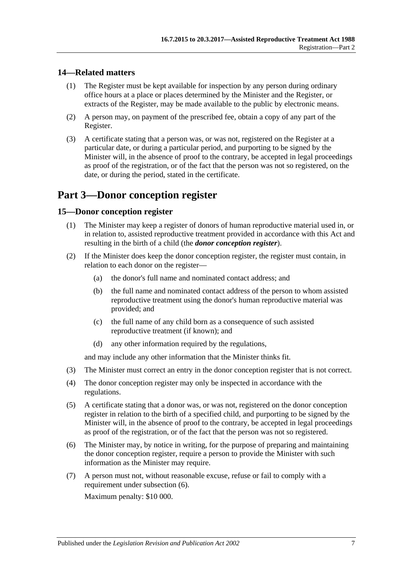### <span id="page-6-0"></span>**14—Related matters**

- (1) The Register must be kept available for inspection by any person during ordinary office hours at a place or places determined by the Minister and the Register, or extracts of the Register, may be made available to the public by electronic means.
- (2) A person may, on payment of the prescribed fee, obtain a copy of any part of the Register.
- (3) A certificate stating that a person was, or was not, registered on the Register at a particular date, or during a particular period, and purporting to be signed by the Minister will, in the absence of proof to the contrary, be accepted in legal proceedings as proof of the registration, or of the fact that the person was not so registered, on the date, or during the period, stated in the certificate.

# <span id="page-6-1"></span>**Part 3—Donor conception register**

### <span id="page-6-2"></span>**15—Donor conception register**

- (1) The Minister may keep a register of donors of human reproductive material used in, or in relation to, assisted reproductive treatment provided in accordance with this Act and resulting in the birth of a child (the *donor conception register*).
- (2) If the Minister does keep the donor conception register, the register must contain, in relation to each donor on the register—
	- (a) the donor's full name and nominated contact address; and
	- (b) the full name and nominated contact address of the person to whom assisted reproductive treatment using the donor's human reproductive material was provided; and
	- (c) the full name of any child born as a consequence of such assisted reproductive treatment (if known); and
	- (d) any other information required by the regulations,

and may include any other information that the Minister thinks fit.

- (3) The Minister must correct an entry in the donor conception register that is not correct.
- (4) The donor conception register may only be inspected in accordance with the regulations.
- (5) A certificate stating that a donor was, or was not, registered on the donor conception register in relation to the birth of a specified child, and purporting to be signed by the Minister will, in the absence of proof to the contrary, be accepted in legal proceedings as proof of the registration, or of the fact that the person was not so registered.
- <span id="page-6-3"></span>(6) The Minister may, by notice in writing, for the purpose of preparing and maintaining the donor conception register, require a person to provide the Minister with such information as the Minister may require.
- (7) A person must not, without reasonable excuse, refuse or fail to comply with a requirement under [subsection](#page-6-3) (6).

Maximum penalty: \$10 000.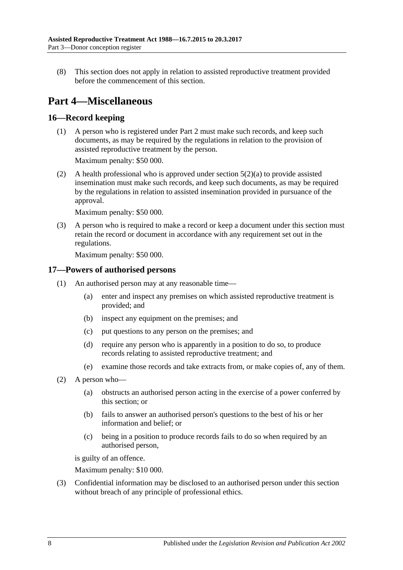(8) This section does not apply in relation to assisted reproductive treatment provided before the commencement of this section.

# <span id="page-7-0"></span>**Part 4—Miscellaneous**

## <span id="page-7-1"></span>**16—Record keeping**

(1) A person who is registered under [Part 2](#page-2-0) must make such records, and keep such documents, as may be required by the regulations in relation to the provision of assisted reproductive treatment by the person.

Maximum penalty: \$50 000.

(2) A health professional who is approved under [section](#page-2-5) 5(2)(a) to provide assisted insemination must make such records, and keep such documents, as may be required by the regulations in relation to assisted insemination provided in pursuance of the approval.

Maximum penalty: \$50 000.

(3) A person who is required to make a record or keep a document under this section must retain the record or document in accordance with any requirement set out in the regulations.

Maximum penalty: \$50 000.

#### <span id="page-7-2"></span>**17—Powers of authorised persons**

- (1) An authorised person may at any reasonable time—
	- (a) enter and inspect any premises on which assisted reproductive treatment is provided; and
	- (b) inspect any equipment on the premises; and
	- (c) put questions to any person on the premises; and
	- (d) require any person who is apparently in a position to do so, to produce records relating to assisted reproductive treatment; and
	- (e) examine those records and take extracts from, or make copies of, any of them.
- (2) A person who—
	- (a) obstructs an authorised person acting in the exercise of a power conferred by this section; or
	- (b) fails to answer an authorised person's questions to the best of his or her information and belief; or
	- (c) being in a position to produce records fails to do so when required by an authorised person,

is guilty of an offence.

Maximum penalty: \$10 000.

(3) Confidential information may be disclosed to an authorised person under this section without breach of any principle of professional ethics.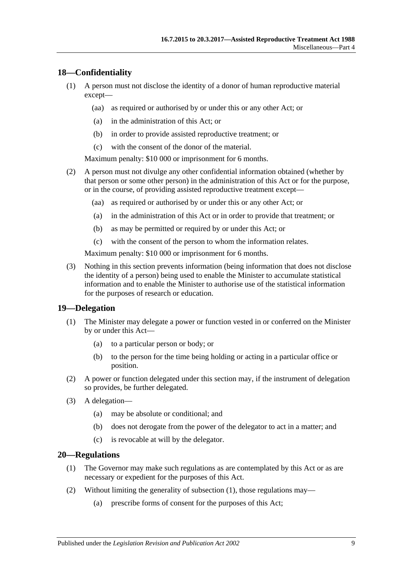### <span id="page-8-0"></span>**18—Confidentiality**

- (1) A person must not disclose the identity of a donor of human reproductive material except—
	- (aa) as required or authorised by or under this or any other Act; or
	- (a) in the administration of this Act; or
	- (b) in order to provide assisted reproductive treatment; or
	- (c) with the consent of the donor of the material.

Maximum penalty: \$10 000 or imprisonment for 6 months.

- (2) A person must not divulge any other confidential information obtained (whether by that person or some other person) in the administration of this Act or for the purpose, or in the course, of providing assisted reproductive treatment except—
	- (aa) as required or authorised by or under this or any other Act; or
	- (a) in the administration of this Act or in order to provide that treatment; or
	- (b) as may be permitted or required by or under this Act; or
	- (c) with the consent of the person to whom the information relates.

Maximum penalty: \$10 000 or imprisonment for 6 months.

(3) Nothing in this section prevents information (being information that does not disclose the identity of a person) being used to enable the Minister to accumulate statistical information and to enable the Minister to authorise use of the statistical information for the purposes of research or education.

#### <span id="page-8-1"></span>**19—Delegation**

- (1) The Minister may delegate a power or function vested in or conferred on the Minister by or under this Act—
	- (a) to a particular person or body; or
	- (b) to the person for the time being holding or acting in a particular office or position.
- (2) A power or function delegated under this section may, if the instrument of delegation so provides, be further delegated.
- (3) A delegation—
	- (a) may be absolute or conditional; and
	- (b) does not derogate from the power of the delegator to act in a matter; and
	- (c) is revocable at will by the delegator.

#### <span id="page-8-3"></span><span id="page-8-2"></span>**20—Regulations**

- (1) The Governor may make such regulations as are contemplated by this Act or as are necessary or expedient for the purposes of this Act.
- (2) Without limiting the generality of [subsection](#page-8-3) (1), those regulations may—
	- (a) prescribe forms of consent for the purposes of this Act;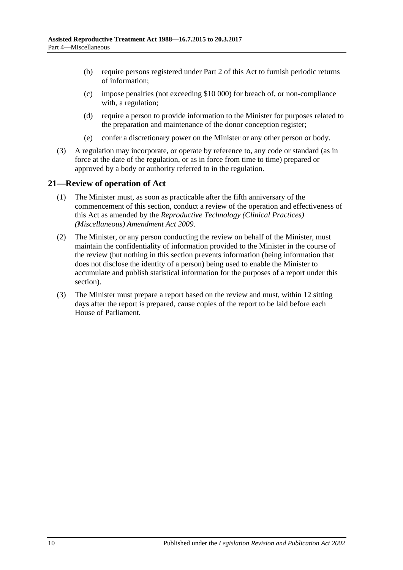- (b) require persons registered under [Part 2](#page-2-0) of this Act to furnish periodic returns of information;
- (c) impose penalties (not exceeding \$10 000) for breach of, or non-compliance with, a regulation;
- (d) require a person to provide information to the Minister for purposes related to the preparation and maintenance of the donor conception register;
- (e) confer a discretionary power on the Minister or any other person or body.
- (3) A regulation may incorporate, or operate by reference to, any code or standard (as in force at the date of the regulation, or as in force from time to time) prepared or approved by a body or authority referred to in the regulation.

### <span id="page-9-0"></span>**21—Review of operation of Act**

- (1) The Minister must, as soon as practicable after the fifth anniversary of the commencement of this section, conduct a review of the operation and effectiveness of this Act as amended by the *[Reproductive Technology \(Clinical Practices\)](http://www.legislation.sa.gov.au/index.aspx?action=legref&type=act&legtitle=Reproductive%20Technology%20(Clinical%20Practices)%20(Miscellaneous)%20Amendment%20Act%202009)  [\(Miscellaneous\) Amendment Act](http://www.legislation.sa.gov.au/index.aspx?action=legref&type=act&legtitle=Reproductive%20Technology%20(Clinical%20Practices)%20(Miscellaneous)%20Amendment%20Act%202009) 2009*.
- (2) The Minister, or any person conducting the review on behalf of the Minister, must maintain the confidentiality of information provided to the Minister in the course of the review (but nothing in this section prevents information (being information that does not disclose the identity of a person) being used to enable the Minister to accumulate and publish statistical information for the purposes of a report under this section).
- (3) The Minister must prepare a report based on the review and must, within 12 sitting days after the report is prepared, cause copies of the report to be laid before each House of Parliament.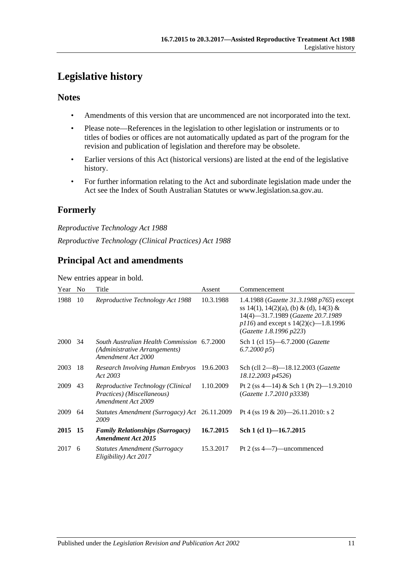# <span id="page-10-0"></span>**Legislative history**

# **Notes**

- Amendments of this version that are uncommenced are not incorporated into the text.
- Please note—References in the legislation to other legislation or instruments or to titles of bodies or offices are not automatically updated as part of the program for the revision and publication of legislation and therefore may be obsolete.
- Earlier versions of this Act (historical versions) are listed at the end of the legislative history.
- For further information relating to the Act and subordinate legislation made under the Act see the Index of South Australian Statutes or www.legislation.sa.gov.au.

# **Formerly**

*Reproductive Technology Act 1988 Reproductive Technology (Clinical Practices) Act 1988*

# **Principal Act and amendments**

New entries appear in bold.

| Year    | No. | Title                                                                                              | Assent    | Commencement                                                                                                                                                                                      |
|---------|-----|----------------------------------------------------------------------------------------------------|-----------|---------------------------------------------------------------------------------------------------------------------------------------------------------------------------------------------------|
| 1988    | 10  | Reproductive Technology Act 1988                                                                   | 10.3.1988 | 1.4.1988 (Gazette 31.3.1988 p765) except<br>ss 14(1), 14(2)(a), (b) & (d), 14(3) &<br>14(4)-31.7.1989 (Gazette 20.7.1989<br>$p116$ ) and except s $14(2)(c)$ —1.8.1996<br>(Gazette 1.8.1996 p223) |
| 2000    | 34  | South Australian Health Commission 6.7.2000<br>(Administrative Arrangements)<br>Amendment Act 2000 |           | Sch 1 (cl 15)-6.7.2000 ( <i>Gazette</i><br>6.7.2000 p5                                                                                                                                            |
| 2003    | 18  | Research Involving Human Embryos<br>Act 2003                                                       | 19.6.2003 | Sch (cll 2-8)-18.12.2003 (Gazette<br>18.12.2003 p4526)                                                                                                                                            |
| 2009    | 43  | Reproductive Technology (Clinical<br>Practices) (Miscellaneous)<br>Amendment Act 2009              | 1.10.2009 | Pt 2 (ss 4—14) & Sch 1 (Pt 2)—1.9.2010<br>(Gazette 1.7.2010 p3338)                                                                                                                                |
| 2009    | 64  | Statutes Amendment (Surrogacy) Act 26.11.2009<br>2009                                              |           | Pt 4 (ss 19 & 20)—26.11.2010: s 2                                                                                                                                                                 |
| 2015 15 |     | <b>Family Relationships (Surrogacy)</b><br><b>Amendment Act 2015</b>                               | 16.7.2015 | Sch 1 (cl 1)-16.7.2015                                                                                                                                                                            |
| 2017 6  |     | <b>Statutes Amendment (Surrogacy</b><br>Eligibility) Act 2017                                      | 15.3.2017 | Pt 2 (ss $4-7$ )—uncommenced                                                                                                                                                                      |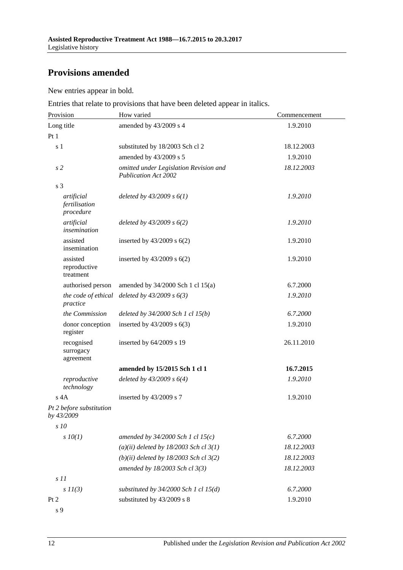# **Provisions amended**

New entries appear in bold.

Entries that relate to provisions that have been deleted appear in italics.

| Provision                                | How varied                                                            | Commencement |  |
|------------------------------------------|-----------------------------------------------------------------------|--------------|--|
| Long title                               | amended by 43/2009 s 4                                                | 1.9.2010     |  |
| Pt1                                      |                                                                       |              |  |
| s <sub>1</sub>                           | substituted by 18/2003 Sch cl 2                                       | 18.12.2003   |  |
|                                          | amended by 43/2009 s 5                                                | 1.9.2010     |  |
| s <sub>2</sub>                           | omitted under Legislation Revision and<br><b>Publication Act 2002</b> | 18.12.2003   |  |
| s <sub>3</sub>                           |                                                                       |              |  |
| artificial<br>fertilisation<br>procedure | deleted by $43/2009 s 6(1)$                                           | 1.9.2010     |  |
| artificial<br>insemination               | deleted by $43/2009 s 6(2)$                                           | 1.9.2010     |  |
| assisted<br>insemination                 | inserted by $43/2009$ s $6(2)$                                        | 1.9.2010     |  |
| assisted<br>reproductive<br>treatment    | inserted by $43/2009$ s $6(2)$                                        | 1.9.2010     |  |
| authorised person                        | amended by $34/2000$ Sch 1 cl $15(a)$                                 | 6.7.2000     |  |
| the code of ethical<br>practice          | deleted by $43/2009 s 6(3)$                                           | 1.9.2010     |  |
| the Commission                           | deleted by $34/2000$ Sch 1 cl 15(b)                                   | 6.7.2000     |  |
| donor conception<br>register             | inserted by $43/2009$ s $6(3)$                                        | 1.9.2010     |  |
| recognised<br>surrogacy<br>agreement     | inserted by 64/2009 s 19                                              | 26.11.2010   |  |
|                                          | amended by 15/2015 Sch 1 cl 1                                         | 16.7.2015    |  |
| reproductive<br>technology               | deleted by $43/2009 s 6(4)$                                           | 1.9.2010     |  |
| $s$ 4A                                   | inserted by 43/2009 s 7                                               | 1.9.2010     |  |
| Pt 2 before substitution<br>by 43/2009   |                                                                       |              |  |
| s10                                      |                                                                       |              |  |
| $s$ $10(1)$                              | amended by $34/2000$ Sch 1 cl 15(c)                                   | 6.7.2000     |  |
|                                          | $(a)(ii)$ deleted by 18/2003 Sch cl 3(1)                              | 18.12.2003   |  |
|                                          | (b)(ii) deleted by $18/2003$ Sch cl $3(2)$                            | 18.12.2003   |  |
|                                          | amended by 18/2003 Sch cl 3(3)                                        | 18.12.2003   |  |
| s11                                      |                                                                       |              |  |
| $s\ II(3)$                               | substituted by $34/2000$ Sch 1 cl $15(d)$                             | 6.7.2000     |  |
| Pt 2                                     | substituted by 43/2009 s 8                                            | 1.9.2010     |  |
| s 9                                      |                                                                       |              |  |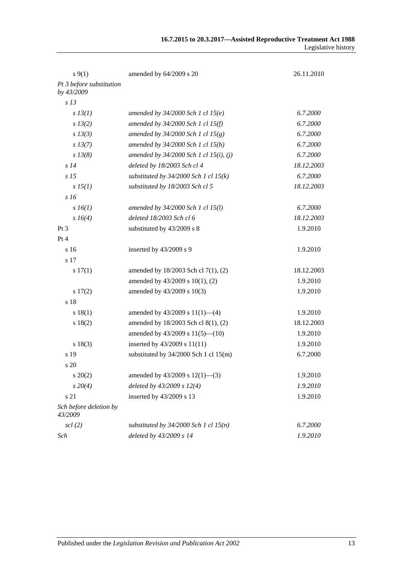| $s \, 9(1)$                            | amended by 64/2009 s 20                   | 26.11.2010 |
|----------------------------------------|-------------------------------------------|------------|
| Pt 3 before substitution<br>by 43/2009 |                                           |            |
| s <sub>13</sub>                        |                                           |            |
| $s$ 13(1)                              | amended by $34/2000$ Sch 1 cl $15(e)$     | 6.7.2000   |
| $s\,13(2)$                             | amended by 34/2000 Sch 1 cl 15(f)         | 6.7.2000   |
| $s$ 13(3)                              | amended by $34/2000$ Sch 1 cl $15(g)$     | 6.7.2000   |
| $s\,13(7)$                             | amended by $34/2000$ Sch 1 cl 15(h)       | 6.7.2000   |
| $s$ 13(8)                              | amended by $34/2000$ Sch 1 cl 15(i), (j)  | 6.7.2000   |
| s14                                    | deleted by 18/2003 Sch cl 4               | 18.12.2003 |
| s <sub>15</sub>                        | substituted by $34/2000$ Sch 1 cl 15(k)   | 6.7.2000   |
| s 15(1)                                | substituted by 18/2003 Sch cl 5           | 18.12.2003 |
| s <sub>16</sub>                        |                                           |            |
| s 16(1)                                | amended by 34/2000 Sch 1 cl 15(l)         | 6.7.2000   |
| s16(4)                                 | deleted 18/2003 Sch cl 6                  | 18.12.2003 |
| Pt <sub>3</sub>                        | substituted by 43/2009 s 8                | 1.9.2010   |
| Pt 4                                   |                                           |            |
| s 16                                   | inserted by 43/2009 s 9                   | 1.9.2010   |
| s 17                                   |                                           |            |
| s 17(1)                                | amended by 18/2003 Sch cl 7(1), (2)       | 18.12.2003 |
|                                        | amended by 43/2009 s 10(1), (2)           | 1.9.2010   |
| s 17(2)                                | amended by 43/2009 s 10(3)                | 1.9.2010   |
| s 18                                   |                                           |            |
| s 18(1)                                | amended by $43/2009$ s $11(1)$ — $(4)$    | 1.9.2010   |
| s 18(2)                                | amended by 18/2003 Sch cl 8(1), (2)       | 18.12.2003 |
|                                        | amended by $43/2009$ s $11(5)$ — $(10)$   | 1.9.2010   |
| s 18(3)                                | inserted by 43/2009 s 11(11)              | 1.9.2010   |
| s 19                                   | substituted by $34/2000$ Sch 1 cl $15(m)$ | 6.7.2000   |
| s 20                                   |                                           |            |
| $s \ 20(2)$                            | amended by $43/2009$ s $12(1)$ —(3)       | 1.9.2010   |
| $s\,20(4)$                             | deleted by 43/2009 s 12(4)                | 1.9.2010   |
| s 21                                   | inserted by 43/2009 s 13                  | 1.9.2010   |
| Sch before deletion by<br>43/2009      |                                           |            |
| $\mathfrak{sl}(2)$                     | substituted by $34/2000$ Sch 1 cl $15(n)$ | 6.7.2000   |
| Sch                                    | deleted by 43/2009 s 14                   | 1.9.2010   |